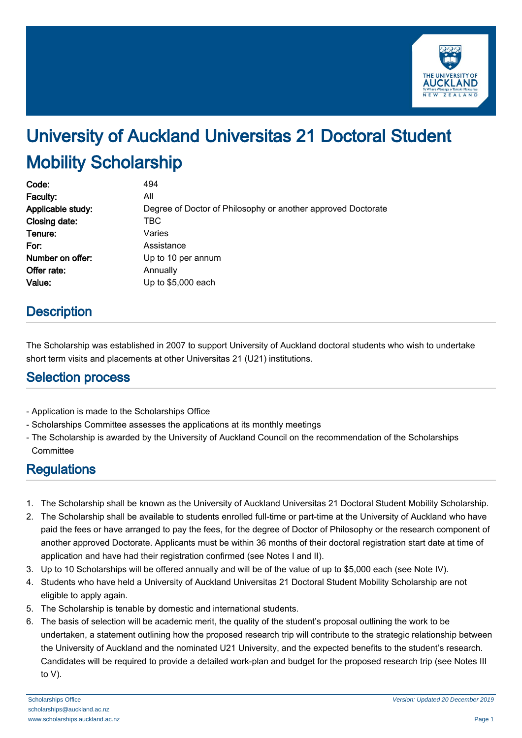

# University of Auckland Universitas 21 Doctoral Student Mobility Scholarship

| Code:             | 494                                                          |
|-------------------|--------------------------------------------------------------|
| Faculty:          | All                                                          |
| Applicable study: | Degree of Doctor of Philosophy or another approved Doctorate |
| Closing date:     | <b>TBC</b>                                                   |
| Tenure:           | Varies                                                       |
| For:              | Assistance                                                   |
| Number on offer:  | Up to 10 per annum                                           |
| Offer rate:       | Annually                                                     |
| Value:            | Up to \$5,000 each                                           |

# **Description**

The Scholarship was established in 2007 to support University of Auckland doctoral students who wish to undertake short term visits and placements at other Universitas 21 (U21) institutions.

### Selection process

- Application is made to the Scholarships Office
- Scholarships Committee assesses the applications at its monthly meetings
- The Scholarship is awarded by the University of Auckland Council on the recommendation of the Scholarships **Committee**

# **Regulations**

- 1. The Scholarship shall be known as the University of Auckland Universitas 21 Doctoral Student Mobility Scholarship.
- 2. The Scholarship shall be available to students enrolled full-time or part-time at the University of Auckland who have paid the fees or have arranged to pay the fees, for the degree of Doctor of Philosophy or the research component of another approved Doctorate. Applicants must be within 36 months of their doctoral registration start date at time of application and have had their registration confirmed (see Notes I and II).
- 3. Up to 10 Scholarships will be offered annually and will be of the value of up to \$5,000 each (see Note IV).
- 4. Students who have held a University of Auckland Universitas 21 Doctoral Student Mobility Scholarship are not eligible to apply again.
- 5. The Scholarship is tenable by domestic and international students.
- 6. The basis of selection will be academic merit, the quality of the student's proposal outlining the work to be undertaken, a statement outlining how the proposed research trip will contribute to the strategic relationship between the University of Auckland and the nominated U21 University, and the expected benefits to the student's research. Candidates will be required to provide a detailed work-plan and budget for the proposed research trip (see Notes III to V).